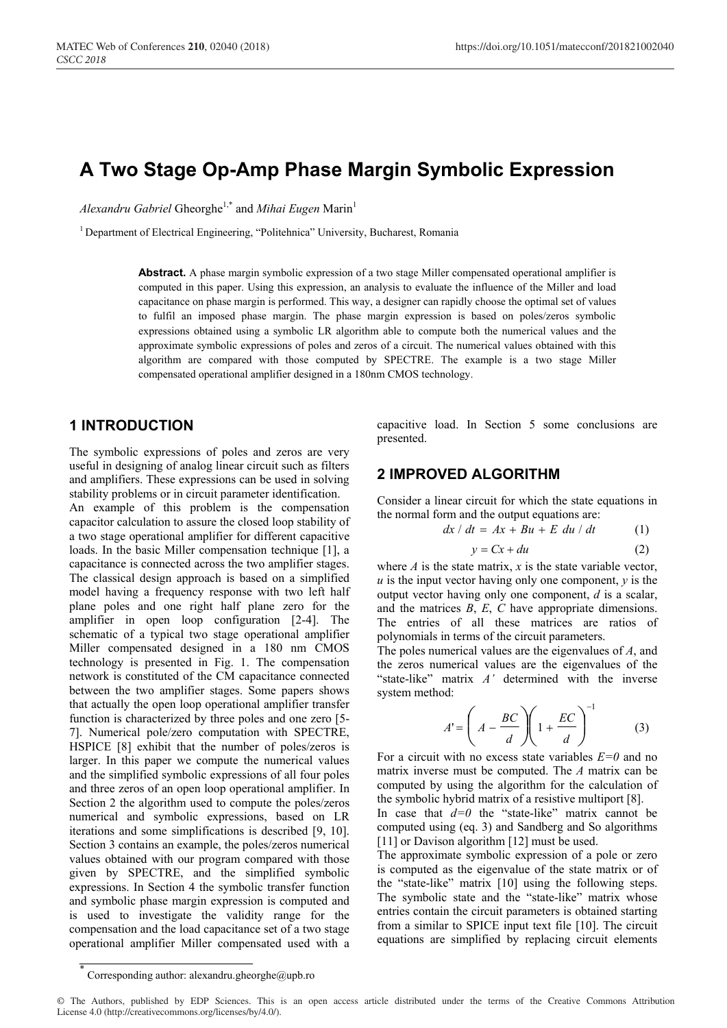# **A Two Stage Op-Amp Phase Margin Symbolic Expression**

*Alexandru Gabriel* Gheorghe1,\* and *Mihai Eugen* Marin<sup>1</sup>

<sup>1</sup> Department of Electrical Engineering, "Politehnica" University, Bucharest, Romania

Abstract. A phase margin symbolic expression of a two stage Miller compensated operational amplifier is computed in this paper. Using this expression, an analysis to evaluate the influence of the Miller and load capacitance on phase margin is performed. This way, a designer can rapidly choose the optimal set of values to fulfil an imposed phase margin. The phase margin expression is based on poles/zeros symbolic expressions obtained using a symbolic LR algorithm able to compute both the numerical values and the approximate symbolic expressions of poles and zeros of a circuit. The numerical values obtained with this algorithm are compared with those computed by SPECTRE. The example is a two stage Miller compensated operational amplifier designed in a 180nm CMOS technology.

#### **1 INTRODUCTION**

The symbolic expressions of poles and zeros are very useful in designing of analog linear circuit such as filters and amplifiers. These expressions can be used in solving stability problems or in circuit parameter identification.

An example of this problem is the compensation capacitor calculation to assure the closed loop stability of a two stage operational amplifier for different capacitive loads. In the basic Miller compensation technique [1], a capacitance is connected across the two amplifier stages. The classical design approach is based on a simplified model having a frequency response with two left half plane poles and one right half plane zero for the amplifier in open loop configuration [2-4]. The schematic of a typical two stage operational amplifier Miller compensated designed in a 180 nm CMOS technology is presented in Fig. 1. The compensation network is constituted of the CM capacitance connected between the two amplifier stages. Some papers shows that actually the open loop operational amplifier transfer function is characterized by three poles and one zero [5- 7]. Numerical pole/zero computation with SPECTRE, HSPICE [8] exhibit that the number of poles/zeros is larger. In this paper we compute the numerical values and the simplified symbolic expressions of all four poles and three zeros of an open loop operational amplifier. In Section 2 the algorithm used to compute the poles/zeros numerical and symbolic expressions, based on LR iterations and some simplifications is described [9, 10]. Section 3 contains an example, the poles/zeros numerical values obtained with our program compared with those given by SPECTRE, and the simplified symbolic expressions. In Section 4 the symbolic transfer function and symbolic phase margin expression is computed and is used to investigate the validity range for the compensation and the load capacitance set of a two stage operational amplifier Miller compensated used with a capacitive load. In Section 5 some conclusions are presented.

#### **2 IMPROVED ALGORITHM**

Consider a linear circuit for which the state equations in the normal form and the output equations are:

$$
dx / dt = Ax + Bu + E du / dt \tag{1}
$$

$$
y = Cx + du \tag{2}
$$

where  $A$  is the state matrix,  $x$  is the state variable vector, *u* is the input vector having only one component, *y* is the output vector having only one component, *d* is a scalar, and the matrices *B*, *E*, *C* have appropriate dimensions. The entries of all these matrices are ratios of polynomials in terms of the circuit parameters.

The poles numerical values are the eigenvalues of *A*, and the zeros numerical values are the eigenvalues of the "state-like" matrix *A'* determined with the inverse system method:

$$
A' = \left(A - \frac{BC}{d}\right)\left(1 + \frac{EC}{d}\right)^{-1}
$$
 (3)

For a circuit with no excess state variables *E=0* and no matrix inverse must be computed. The *A* matrix can be computed by using the algorithm for the calculation of the symbolic hybrid matrix of a resistive multiport [8].

In case that  $d=0$  the "state-like" matrix cannot be computed using (eq. 3) and Sandberg and So algorithms [11] or Davison algorithm [12] must be used.

The approximate symbolic expression of a pole or zero is computed as the eigenvalue of the state matrix or of the "state-like" matrix [10] using the following steps. The symbolic state and the "state-like" matrix whose entries contain the circuit parameters is obtained starting from a similar to SPICE input text file [10]. The circuit equations are simplified by replacing circuit elements

<sup>\*</sup> Corresponding author: alexandru.gheorghe@upb.ro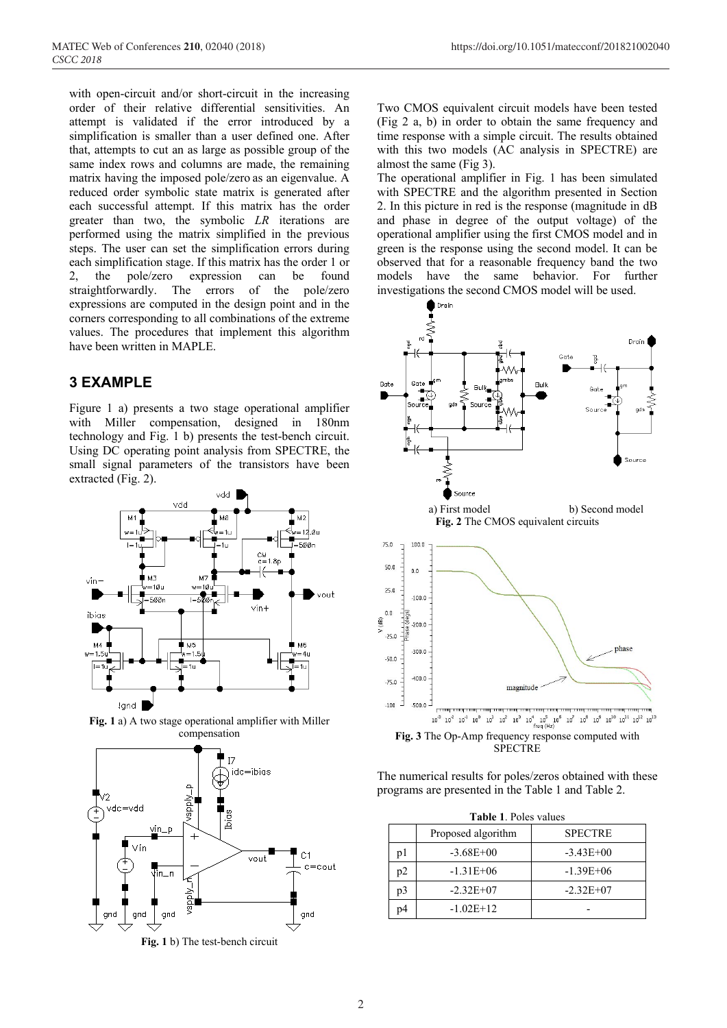MATEC Web of Conferences **210**, 02040 (2018) https://doi.org/10.1051/matecconf/201821002040

with open-circuit and/or short-circuit in the increasing order of their relative differential sensitivities. An attempt is validated if the error introduced by a simplification is smaller than a user defined one. After that, attempts to cut an as large as possible group of the same index rows and columns are made, the remaining matrix having the imposed pole/zero as an eigenvalue. A reduced order symbolic state matrix is generated after each successful attempt. If this matrix has the order greater than two, the symbolic *LR* iterations are performed using the matrix simplified in the previous steps. The user can set the simplification errors during each simplification stage. If this matrix has the order 1 or 2, the pole/zero expression can be found straightforwardly. The errors of the pole/zero expressions are computed in the design point and in the corners corresponding to all combinations of the extreme values. The procedures that implement this algorithm have been written in MAPLE.

## **3 EXAMPLE**

Figure 1 a) presents a two stage operational amplifier with Miller compensation, designed in 180nm technology and Fig. 1 b) presents the test-bench circuit. Using DC operating point analysis from SPECTRE, the small signal parameters of the transistors have been extracted (Fig. 2).



**Fig. 1** a) A two stage operational amplifier with Miller compensation



**Fig. 1** b) The test-bench circuit

Two CMOS equivalent circuit models have been tested (Fig 2 a, b) in order to obtain the same frequency and time response with a simple circuit. The results obtained with this two models (AC analysis in SPECTRE) are almost the same (Fig 3).

The operational amplifier in Fig. 1 has been simulated with SPECTRE and the algorithm presented in Section 2. In this picture in red is the response (magnitude in dB and phase in degree of the output voltage) of the operational amplifier using the first CMOS model and in green is the response using the second model. It can be observed that for a reasonable frequency band the two models have the same behavior. For further investigations the second CMOS model will be used.



The numerical results for poles/zeros obtained with these programs are presented in the Table 1 and Table 2.

| <b>Table 1. Poles values</b> |                    |                |  |  |  |
|------------------------------|--------------------|----------------|--|--|--|
|                              | Proposed algorithm | <b>SPECTRE</b> |  |  |  |
| pl                           | $-3.68E + 00$      | $-3.43E+00$    |  |  |  |
| p2                           | $-1.31E+06$        | $-1.39E + 06$  |  |  |  |
| p3                           | $-2.32E+07$        | $-2.32E+07$    |  |  |  |
| ኅ4                           | $-1.02E+12$        |                |  |  |  |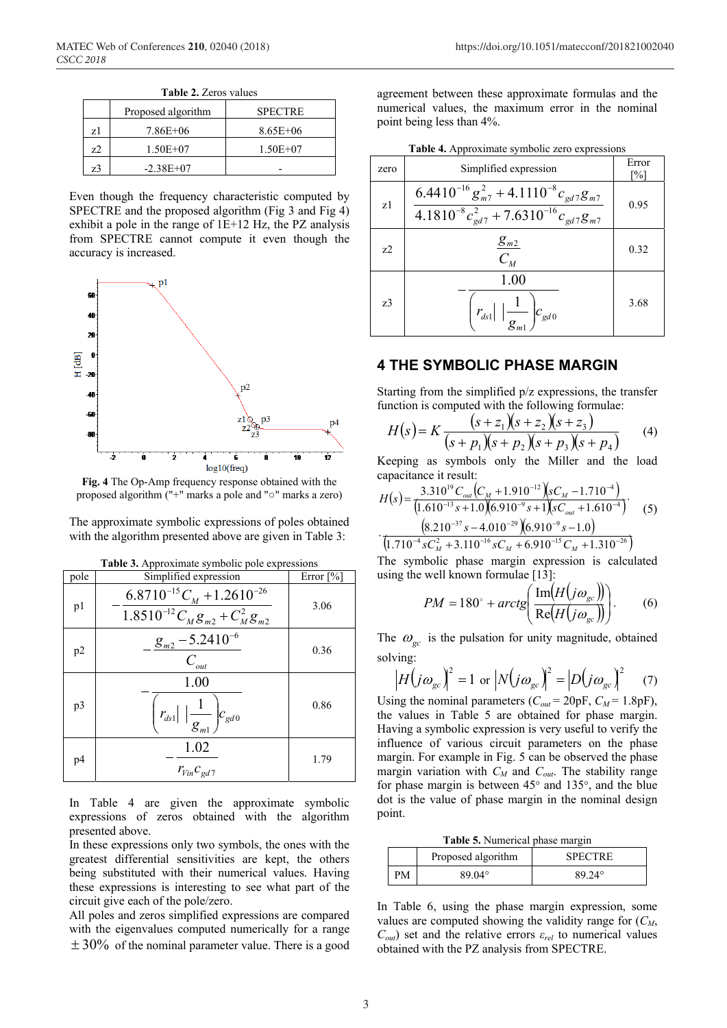|    | Proposed algorithm | <b>SPECTRE</b> |
|----|--------------------|----------------|
| z1 | 7.86E+06           | $8.65E + 06$   |
| Z  | $1.50E + 07$       | $1.50E + 07$   |
| z3 | $-2.38E+07$        |                |

**Table 2.** Zeros values

Even though the frequency characteristic computed by SPECTRE and the proposed algorithm (Fig 3 and Fig 4) exhibit a pole in the range of 1E+12 Hz, the PZ analysis from SPECTRE cannot compute it even though the accuracy is increased.



**Fig. 4** The Op-Amp frequency response obtained with the proposed algorithm ("+" marks a pole and "○" marks a zero)

The approximate symbolic expressions of poles obtained with the algorithm presented above are given in Table 3:

| pole           | Simplified expression                                                         | Error $\lceil\% \rceil$ |
|----------------|-------------------------------------------------------------------------------|-------------------------|
| p <sub>1</sub> | $6.8710^{-15}C_M + 1.2610^{-26}$<br>$1.8510^{-12}C_{M}g_{m2}+C_{M}^{2}g_{m2}$ | 3.06                    |
| p2             | $g_{m2}$ – 5.2410 <sup>-6</sup><br>$C_{_{out}}$                               | 0.36                    |
| p3             | 1.00<br>$ r_{ds1}  \left(\frac{1}{g_{m1}}\right) c_{gd0}$                     | 0.86                    |
| p4             | 1.02<br>$r_{Vin}c_{gd7}$                                                      | 1.79                    |

**Table 3.** Approximate symbolic pole expressions

In Table 4 are given the approximate symbolic expressions of zeros obtained with the algorithm presented above.

In these expressions only two symbols, the ones with the greatest differential sensitivities are kept, the others being substituted with their numerical values. Having these expressions is interesting to see what part of the circuit give each of the pole/zero.

All poles and zeros simplified expressions are compared with the eigenvalues computed numerically for a range  $\pm$  30% of the nominal parameter value. There is a good

agreement between these approximate formulas and the numerical values, the maximum error in the nominal point being less than 4%.

|  | Table 4. Approximate symbolic zero expressions |  |
|--|------------------------------------------------|--|
|  |                                                |  |

| zero           | Simplified expression                                                                                      | Error<br>[%] |
|----------------|------------------------------------------------------------------------------------------------------------|--------------|
| z1             | $6.4410^{-16} g_{m7}^2 + 4.1110^{-8} c_{gd7} g_{m7}$<br>$4.1810^{-8}c_{gd7}^2 + 7.6310^{-16}c_{gd7}g_{m7}$ | 0.95         |
| z <sub>2</sub> | $g_{m2}$<br>$C_M$                                                                                          | 0.32         |
| z <sub>3</sub> | 1.00<br>$r_{ds1} \Big  \Big  \frac{1}{g_{m1}} \Bigg) c_{gd0}$                                              | 3.68         |

### **4 THE SYMBOLIC PHASE MARGIN**

Starting from the simplified p/z expressions, the transfer function is computed with the following formulae:

$$
H(s) = K \frac{(s+z_1)(s+z_2)(s+z_3)}{(s+p_1)(s+p_2)(s+p_3)(s+p_4)}
$$
(4)

Keeping as symbols only the Miller and the load capacitance it result:

$$
H(s) = \frac{3.310^{19} C_{out} (C_M + 1.910^{-12}) \left(s C_M - 1.710^{-4}\right)}{(1.610^{-13} s + 1.0)(6.910^{-9} s + 1)(s C_{out} + 1.610^{-4})}
$$
\n
$$
\cdot \frac{(8.210^{-37} s - 4.010^{-29}) \left(6.910^{-9} s - 1.0\right)}{(1.710^{-4} s C_M^2 + 3.110^{-16} s C_M + 6.910^{-15} C_M + 1.310^{-26})}
$$
\n(5)

 $\int_{M}^{2}$  + 3.110<sup>-16</sup>  $\int_{M}$  + 6.910<sup>-15</sup>  $C_{M}$ 

The symbolic phase margin expression is calculated using the well known formulae [13]:

$$
PM = 180^\circ + \arctg\left(\frac{\text{Im}(H(j\omega_{\text{gc}}))}{\text{Re}(H(j\omega_{\text{gc}}))}\right). \tag{6}
$$

The  $\omega_{gc}$  is the pulsation for unity magnitude, obtained solving:

$$
\left|H(j\omega_{gc})\right|^2 = 1 \text{ or } \left|N(j\omega_{gc})\right|^2 = \left|D(j\omega_{gc})\right|^2 \quad (7)
$$

Using the nominal parameters  $(C_{out} = 20pF, C_M = 1.8pF)$ , the values in Table 5 are obtained for phase margin. Having a symbolic expression is very useful to verify the influence of various circuit parameters on the phase margin. For example in Fig. 5 can be observed the phase margin variation with  $C_M$  and  $C_{out}$ . The stability range for phase margin is between 45° and 135°, and the blue dot is the value of phase margin in the nominal design point.

**Table 5.** Numerical phase margin

|   | Proposed algorithm | <b>SPECTRE</b> |  |  |
|---|--------------------|----------------|--|--|
| M | 89 04°             | 89 24°         |  |  |

In Table 6, using the phase margin expression, some values are computed showing the validity range for  $(C_M,$  $C_{out}$ ) set and the relative errors  $\varepsilon_{rel}$  to numerical values obtained with the PZ analysis from SPECTRE.